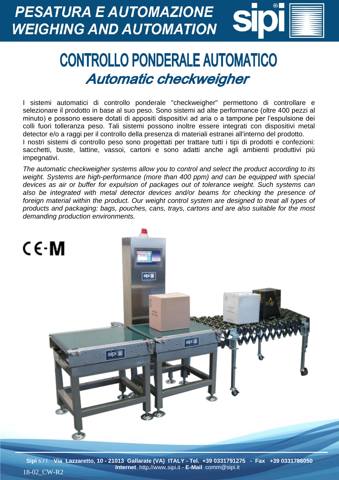**PESATURA E AUTOMAZIONE WEIGHING AND AUTOMATION** 

## **CONTROLLO PONDERALE AUTOMATICO** Automatic checkweigher

I sistemi automatici di controllo ponderale "checkweigher" permettono di controllare e selezionare il prodotto in base al suo peso. Sono sistemi ad alte performance (oltre 400 pezzi al minuto) e possono essere dotati di appositi dispositivi ad aria o a tampone per l'espulsione dei colli fuori tolleranza peso. Tali sistemi possono inoltre essere integrati con dispositivi metal detector e/o a raggi per il controllo della presenza di materiali estranei all'interno del prodotto. I nostri sistemi di controllo peso sono progettati per trattare tutti i tipi di prodotti e confezioni: sacchetti, buste, lattine, vassoi, cartoni e sono adatti anche agli ambienti produttivi più impegnativi.

*The automatic checkweigher systems allow you to control and select the product according to its weight. Systems are high-performance (more than 400 ppm) and can be equipped with special devices as air or buffer for expulsion of packages out of tolerance weight. Such systems can also be integrated with metal detector devices and/or beams for checking the presence of foreign material within the product. Our weight control system are designed to treat all types of products and packaging: bags, pouches, cans, trays, cartons and are also suitable for the most demanding production environments.*



**Sipi** s.r.l. **Via Lazzaretto, 10 - 21013 Gallarate (VA) ITALY - Tel. +39 0331791275 - Fax +39 0331786050 Internet** http://www.sipi.it - **E-Mail** comm@sipi.it 18-02\_CW-R2